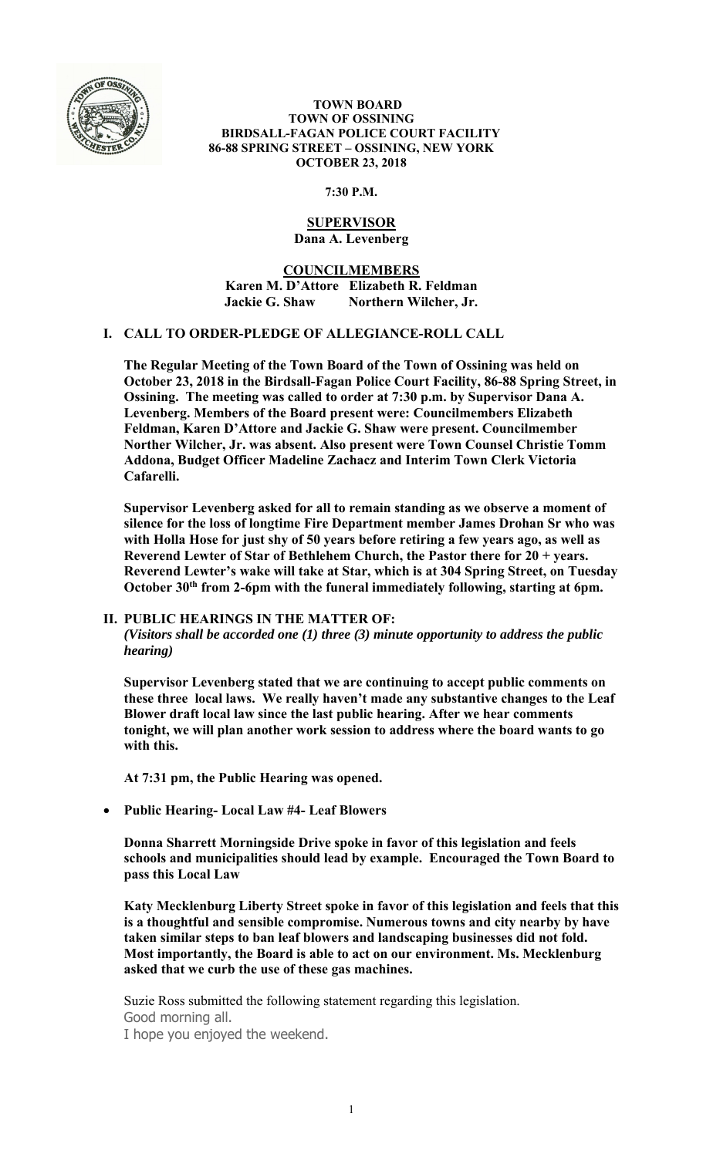

#### **TOWN BOARD TOWN OF OSSINING BIRDSALL-FAGAN POLICE COURT FACILITY 86-88 SPRING STREET – OSSINING, NEW YORK OCTOBER 23, 2018**

**7:30 P.M.** 

# **SUPERVISOR Dana A. Levenberg**

**COUNCILMEMBERS Karen M. D'Attore Elizabeth R. Feldman Jackie G. Shaw Northern Wilcher, Jr.** 

## **I. CALL TO ORDER-PLEDGE OF ALLEGIANCE-ROLL CALL**

**The Regular Meeting of the Town Board of the Town of Ossining was held on October 23, 2018 in the Birdsall-Fagan Police Court Facility, 86-88 Spring Street, in Ossining. The meeting was called to order at 7:30 p.m. by Supervisor Dana A. Levenberg. Members of the Board present were: Councilmembers Elizabeth Feldman, Karen D'Attore and Jackie G. Shaw were present. Councilmember Norther Wilcher, Jr. was absent. Also present were Town Counsel Christie Tomm Addona, Budget Officer Madeline Zachacz and Interim Town Clerk Victoria Cafarelli.** 

**Supervisor Levenberg asked for all to remain standing as we observe a moment of silence for the loss of longtime Fire Department member James Drohan Sr who was with Holla Hose for just shy of 50 years before retiring a few years ago, as well as Reverend Lewter of Star of Bethlehem Church, the Pastor there for 20 + years. Reverend Lewter's wake will take at Star, which is at 304 Spring Street, on Tuesday October 30th from 2-6pm with the funeral immediately following, starting at 6pm.** 

# **II. PUBLIC HEARINGS IN THE MATTER OF:**

*(Visitors shall be accorded one (1) three (3) minute opportunity to address the public hearing)* 

**Supervisor Levenberg stated that we are continuing to accept public comments on these three local laws. We really haven't made any substantive changes to the Leaf Blower draft local law since the last public hearing. After we hear comments tonight, we will plan another work session to address where the board wants to go with this.** 

**At 7:31 pm, the Public Hearing was opened.** 

**Public Hearing- Local Law #4- Leaf Blowers** 

**Donna Sharrett Morningside Drive spoke in favor of this legislation and feels schools and municipalities should lead by example. Encouraged the Town Board to pass this Local Law** 

**Katy Mecklenburg Liberty Street spoke in favor of this legislation and feels that this is a thoughtful and sensible compromise. Numerous towns and city nearby by have taken similar steps to ban leaf blowers and landscaping businesses did not fold. Most importantly, the Board is able to act on our environment. Ms. Mecklenburg asked that we curb the use of these gas machines.** 

Suzie Ross submitted the following statement regarding this legislation. Good morning all. I hope you enjoyed the weekend.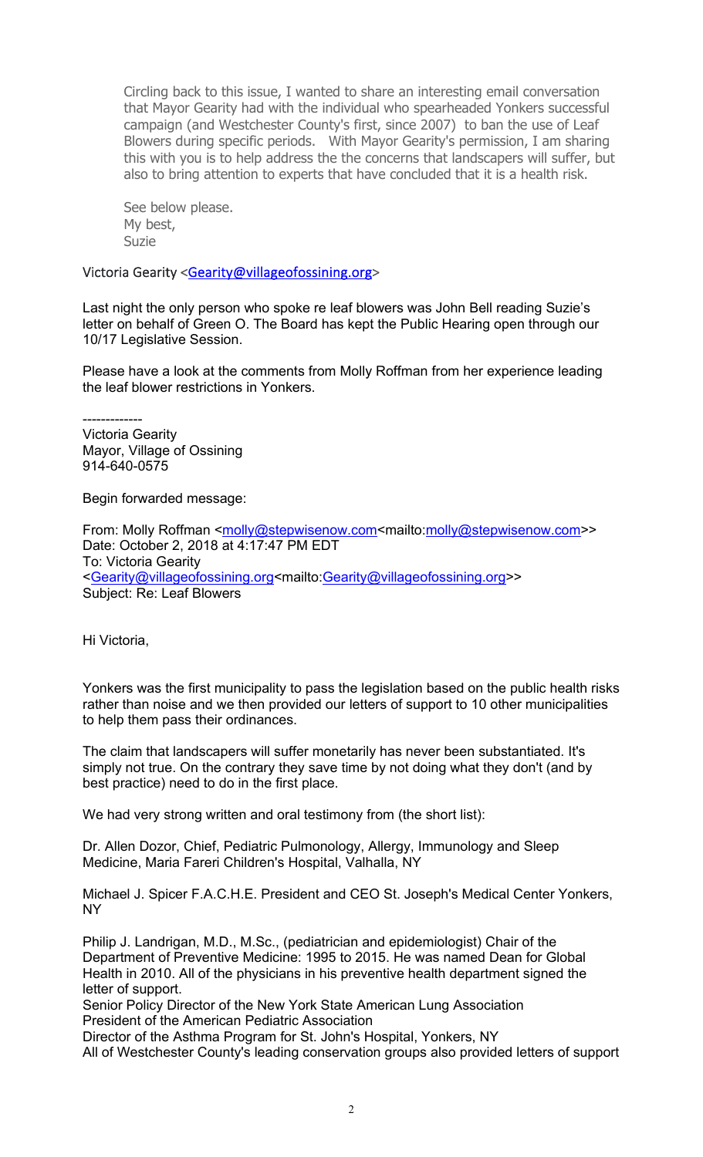Circling back to this issue, I wanted to share an interesting email conversation that Mayor Gearity had with the individual who spearheaded Yonkers successful campaign (and Westchester County's first, since 2007) to ban the use of Leaf Blowers during specific periods. With Mayor Gearity's permission, I am sharing this with you is to help address the the concerns that landscapers will suffer, but also to bring attention to experts that have concluded that it is a health risk.

See below please. My best, Suzie

Victoria Gearity <Gearity@villageofossining.org>

Last night the only person who spoke re leaf blowers was John Bell reading Suzie's letter on behalf of Green O. The Board has kept the Public Hearing open through our 10/17 Legislative Session.

Please have a look at the comments from Molly Roffman from her experience leading the leaf blower restrictions in Yonkers.

-------------

Victoria Gearity Mayor, Village of Ossining 914-640-0575

Begin forwarded message:

From: Molly Roffman <molly@stepwisenow.com<mailto:molly@stepwisenow.com>> Date: October 2, 2018 at 4:17:47 PM EDT To: Victoria Gearity <Gearity@villageofossining.org<mailto:Gearity@villageofossining.org>> Subject: Re: Leaf Blowers

Hi Victoria,

Yonkers was the first municipality to pass the legislation based on the public health risks rather than noise and we then provided our letters of support to 10 other municipalities to help them pass their ordinances.

The claim that landscapers will suffer monetarily has never been substantiated. It's simply not true. On the contrary they save time by not doing what they don't (and by best practice) need to do in the first place.

We had very strong written and oral testimony from (the short list):

Dr. Allen Dozor, Chief, Pediatric Pulmonology, Allergy, Immunology and Sleep Medicine, Maria Fareri Children's Hospital, Valhalla, NY

Michael J. Spicer F.A.C.H.E. President and CEO St. Joseph's Medical Center Yonkers, NY

Philip J. Landrigan, M.D., M.Sc., (pediatrician and epidemiologist) Chair of the Department of Preventive Medicine: 1995 to 2015. He was named Dean for Global Health in 2010. All of the physicians in his preventive health department signed the letter of support.

Senior Policy Director of the New York State American Lung Association President of the American Pediatric Association

Director of the Asthma Program for St. John's Hospital, Yonkers, NY All of Westchester County's leading conservation groups also provided letters of support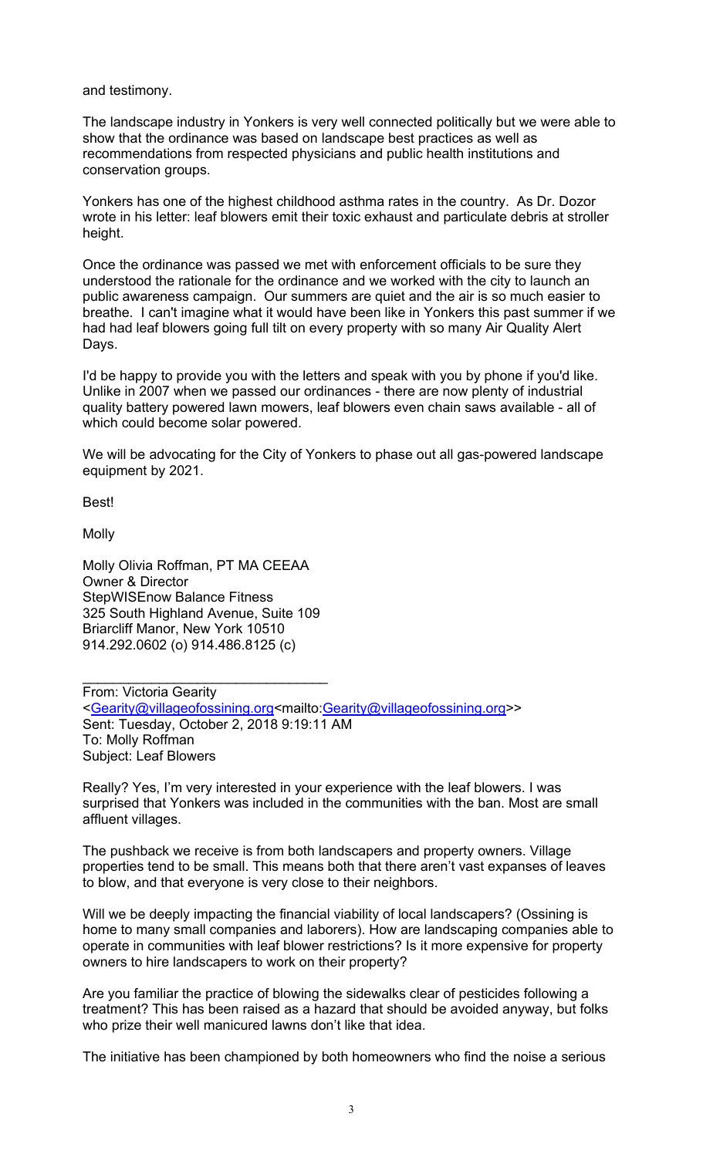and testimony.

The landscape industry in Yonkers is very well connected politically but we were able to show that the ordinance was based on landscape best practices as well as recommendations from respected physicians and public health institutions and conservation groups.

Yonkers has one of the highest childhood asthma rates in the country. As Dr. Dozor wrote in his letter: leaf blowers emit their toxic exhaust and particulate debris at stroller height.

Once the ordinance was passed we met with enforcement officials to be sure they understood the rationale for the ordinance and we worked with the city to launch an public awareness campaign. Our summers are quiet and the air is so much easier to breathe. I can't imagine what it would have been like in Yonkers this past summer if we had had leaf blowers going full tilt on every property with so many Air Quality Alert Days.

I'd be happy to provide you with the letters and speak with you by phone if you'd like. Unlike in 2007 when we passed our ordinances - there are now plenty of industrial quality battery powered lawn mowers, leaf blowers even chain saws available - all of which could become solar powered.

We will be advocating for the City of Yonkers to phase out all gas-powered landscape equipment by 2021.

Best!

**Molly** 

Molly Olivia Roffman, PT MA CEEAA Owner & Director StepWISEnow Balance Fitness 325 South Highland Avenue, Suite 109 Briarcliff Manor, New York 10510 914.292.0602 (o) 914.486.8125 (c)

\_\_\_\_\_\_\_\_\_\_\_\_\_\_\_\_\_\_\_\_\_\_\_\_\_\_\_\_\_\_\_\_

From: Victoria Gearity <Gearity@villageofossining.org<mailto:Gearity@villageofossining.org>> Sent: Tuesday, October 2, 2018 9:19:11 AM To: Molly Roffman Subject: Leaf Blowers

Really? Yes, I'm very interested in your experience with the leaf blowers. I was surprised that Yonkers was included in the communities with the ban. Most are small affluent villages.

The pushback we receive is from both landscapers and property owners. Village properties tend to be small. This means both that there aren't vast expanses of leaves to blow, and that everyone is very close to their neighbors.

Will we be deeply impacting the financial viability of local landscapers? (Ossining is home to many small companies and laborers). How are landscaping companies able to operate in communities with leaf blower restrictions? Is it more expensive for property owners to hire landscapers to work on their property?

Are you familiar the practice of blowing the sidewalks clear of pesticides following a treatment? This has been raised as a hazard that should be avoided anyway, but folks who prize their well manicured lawns don't like that idea.

The initiative has been championed by both homeowners who find the noise a serious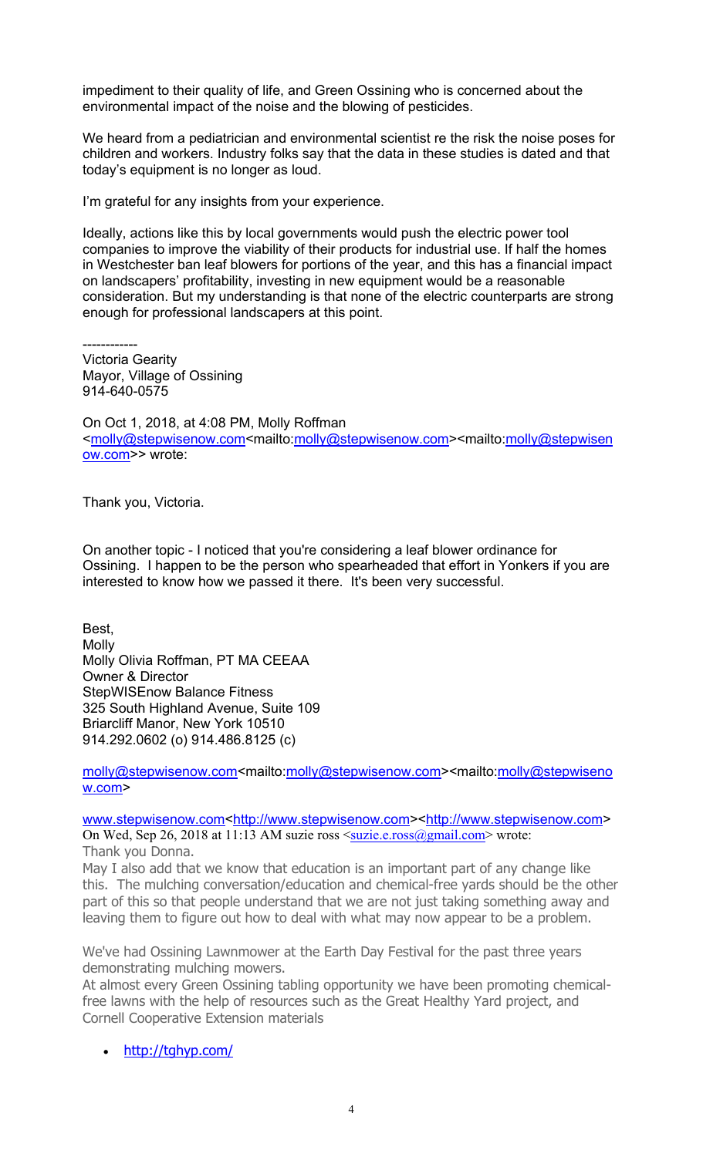impediment to their quality of life, and Green Ossining who is concerned about the environmental impact of the noise and the blowing of pesticides.

We heard from a pediatrician and environmental scientist re the risk the noise poses for children and workers. Industry folks say that the data in these studies is dated and that today's equipment is no longer as loud.

I'm grateful for any insights from your experience.

Ideally, actions like this by local governments would push the electric power tool companies to improve the viability of their products for industrial use. If half the homes in Westchester ban leaf blowers for portions of the year, and this has a financial impact on landscapers' profitability, investing in new equipment would be a reasonable consideration. But my understanding is that none of the electric counterparts are strong enough for professional landscapers at this point.

------------

Victoria Gearity Mayor, Village of Ossining 914-640-0575

On Oct 1, 2018, at 4:08 PM, Molly Roffman <molly@stepwisenow.com<mailto:molly@stepwisenow.com><mailto:molly@stepwisen ow.com>> wrote:

Thank you, Victoria.

On another topic - I noticed that you're considering a leaf blower ordinance for Ossining. I happen to be the person who spearheaded that effort in Yonkers if you are interested to know how we passed it there. It's been very successful.

Best, Molly Molly Olivia Roffman, PT MA CEEAA Owner & Director StepWISEnow Balance Fitness 325 South Highland Avenue, Suite 109 Briarcliff Manor, New York 10510 914.292.0602 (o) 914.486.8125 (c)

molly@stepwisenow.com<mailto:molly@stepwisenow.com><mailto:molly@stepwiseno w.com>

www.stepwisenow.com<http://www.stepwisenow.com><http://www.stepwisenow.com> On Wed, Sep 26, 2018 at 11:13 AM suzie ross  $\langle \text{suzie.e.} \text{cross}(\text{Qgmail.com} \rangle$  wrote:

Thank you Donna.

May I also add that we know that education is an important part of any change like this. The mulching conversation/education and chemical-free yards should be the other part of this so that people understand that we are not just taking something away and leaving them to figure out how to deal with what may now appear to be a problem.

We've had Ossining Lawnmower at the Earth Day Festival for the past three years demonstrating mulching mowers.

At almost every Green Ossining tabling opportunity we have been promoting chemicalfree lawns with the help of resources such as the Great Healthy Yard project, and Cornell Cooperative Extension materials

• http://tghyp.com/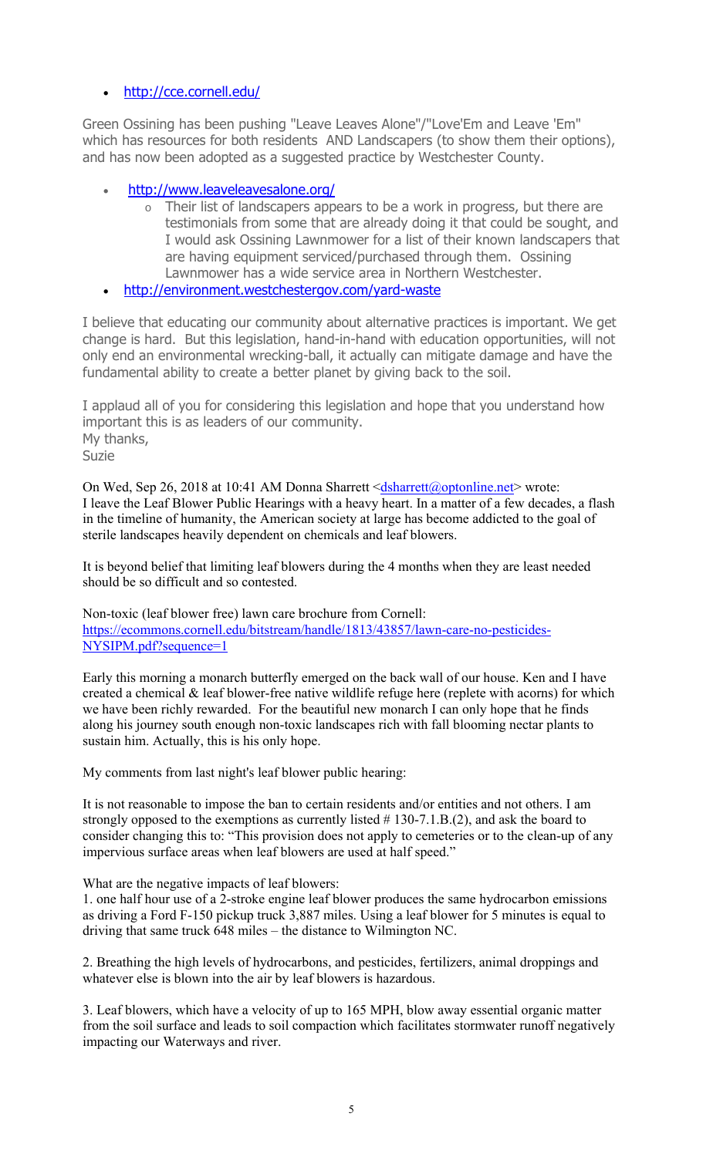# http://cce.cornell.edu/

Green Ossining has been pushing "Leave Leaves Alone"/"Love'Em and Leave 'Em" which has resources for both residents AND Landscapers (to show them their options), and has now been adopted as a suggested practice by Westchester County.

- http://www.leaveleavesalone.org/
	- o Their list of landscapers appears to be a work in progress, but there are testimonials from some that are already doing it that could be sought, and I would ask Ossining Lawnmower for a list of their known landscapers that are having equipment serviced/purchased through them. Ossining Lawnmower has a wide service area in Northern Westchester.
- http://environment.westchestergov.com/yard-waste

I believe that educating our community about alternative practices is important. We get change is hard. But this legislation, hand-in-hand with education opportunities, will not only end an environmental wrecking-ball, it actually can mitigate damage and have the fundamental ability to create a better planet by giving back to the soil.

I applaud all of you for considering this legislation and hope that you understand how important this is as leaders of our community. My thanks, Suzie

On Wed, Sep 26, 2018 at 10:41 AM Donna Sharrett <dsharrett@optonline.net> wrote: I leave the Leaf Blower Public Hearings with a heavy heart. In a matter of a few decades, a flash in the timeline of humanity, the American society at large has become addicted to the goal of sterile landscapes heavily dependent on chemicals and leaf blowers.

It is beyond belief that limiting leaf blowers during the 4 months when they are least needed should be so difficult and so contested.

Non-toxic (leaf blower free) lawn care brochure from Cornell: https://ecommons.cornell.edu/bitstream/handle/1813/43857/lawn-care-no-pesticides-NYSIPM.pdf?sequence=1

Early this morning a monarch butterfly emerged on the back wall of our house. Ken and I have created a chemical & leaf blower-free native wildlife refuge here (replete with acorns) for which we have been richly rewarded. For the beautiful new monarch I can only hope that he finds along his journey south enough non-toxic landscapes rich with fall blooming nectar plants to sustain him. Actually, this is his only hope.

My comments from last night's leaf blower public hearing:

It is not reasonable to impose the ban to certain residents and/or entities and not others. I am strongly opposed to the exemptions as currently listed # 130-7.1.B.(2), and ask the board to consider changing this to: "This provision does not apply to cemeteries or to the clean-up of any impervious surface areas when leaf blowers are used at half speed."

What are the negative impacts of leaf blowers:

1. one half hour use of a 2-stroke engine leaf blower produces the same hydrocarbon emissions as driving a Ford F-150 pickup truck 3,887 miles. Using a leaf blower for 5 minutes is equal to driving that same truck 648 miles – the distance to Wilmington NC.

2. Breathing the high levels of hydrocarbons, and pesticides, fertilizers, animal droppings and whatever else is blown into the air by leaf blowers is hazardous.

3. Leaf blowers, which have a velocity of up to 165 MPH, blow away essential organic matter from the soil surface and leads to soil compaction which facilitates stormwater runoff negatively impacting our Waterways and river.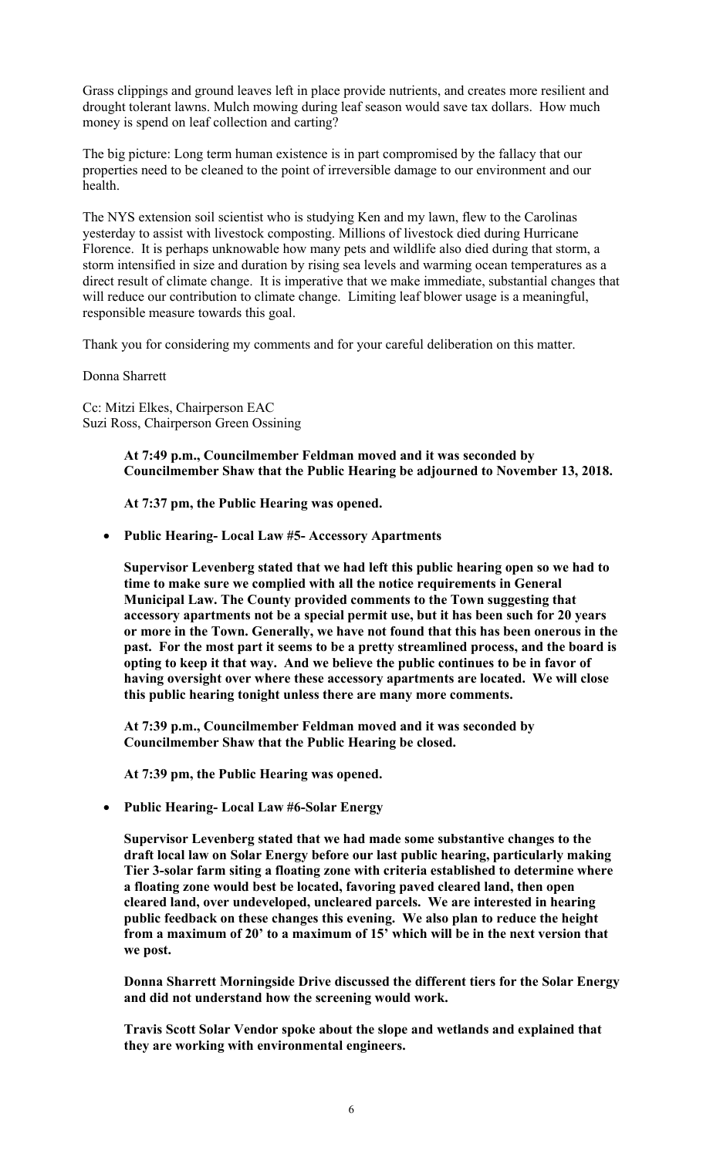Grass clippings and ground leaves left in place provide nutrients, and creates more resilient and drought tolerant lawns. Mulch mowing during leaf season would save tax dollars. How much money is spend on leaf collection and carting?

The big picture: Long term human existence is in part compromised by the fallacy that our properties need to be cleaned to the point of irreversible damage to our environment and our health.

The NYS extension soil scientist who is studying Ken and my lawn, flew to the Carolinas yesterday to assist with livestock composting. Millions of livestock died during Hurricane Florence. It is perhaps unknowable how many pets and wildlife also died during that storm, a storm intensified in size and duration by rising sea levels and warming ocean temperatures as a direct result of climate change. It is imperative that we make immediate, substantial changes that will reduce our contribution to climate change. Limiting leaf blower usage is a meaningful, responsible measure towards this goal.

Thank you for considering my comments and for your careful deliberation on this matter.

Donna Sharrett

Cc: Mitzi Elkes, Chairperson EAC Suzi Ross, Chairperson Green Ossining

> **At 7:49 p.m., Councilmember Feldman moved and it was seconded by Councilmember Shaw that the Public Hearing be adjourned to November 13, 2018.**

**At 7:37 pm, the Public Hearing was opened.** 

**Public Hearing- Local Law #5- Accessory Apartments** 

**Supervisor Levenberg stated that we had left this public hearing open so we had to time to make sure we complied with all the notice requirements in General Municipal Law. The County provided comments to the Town suggesting that accessory apartments not be a special permit use, but it has been such for 20 years or more in the Town. Generally, we have not found that this has been onerous in the past. For the most part it seems to be a pretty streamlined process, and the board is opting to keep it that way. And we believe the public continues to be in favor of having oversight over where these accessory apartments are located. We will close this public hearing tonight unless there are many more comments.** 

**At 7:39 p.m., Councilmember Feldman moved and it was seconded by Councilmember Shaw that the Public Hearing be closed.** 

**At 7:39 pm, the Public Hearing was opened.** 

**Public Hearing- Local Law #6-Solar Energy** 

**Supervisor Levenberg stated that we had made some substantive changes to the draft local law on Solar Energy before our last public hearing, particularly making Tier 3-solar farm siting a floating zone with criteria established to determine where a floating zone would best be located, favoring paved cleared land, then open cleared land, over undeveloped, uncleared parcels. We are interested in hearing public feedback on these changes this evening. We also plan to reduce the height from a maximum of 20' to a maximum of 15' which will be in the next version that we post.** 

**Donna Sharrett Morningside Drive discussed the different tiers for the Solar Energy and did not understand how the screening would work.** 

**Travis Scott Solar Vendor spoke about the slope and wetlands and explained that they are working with environmental engineers.**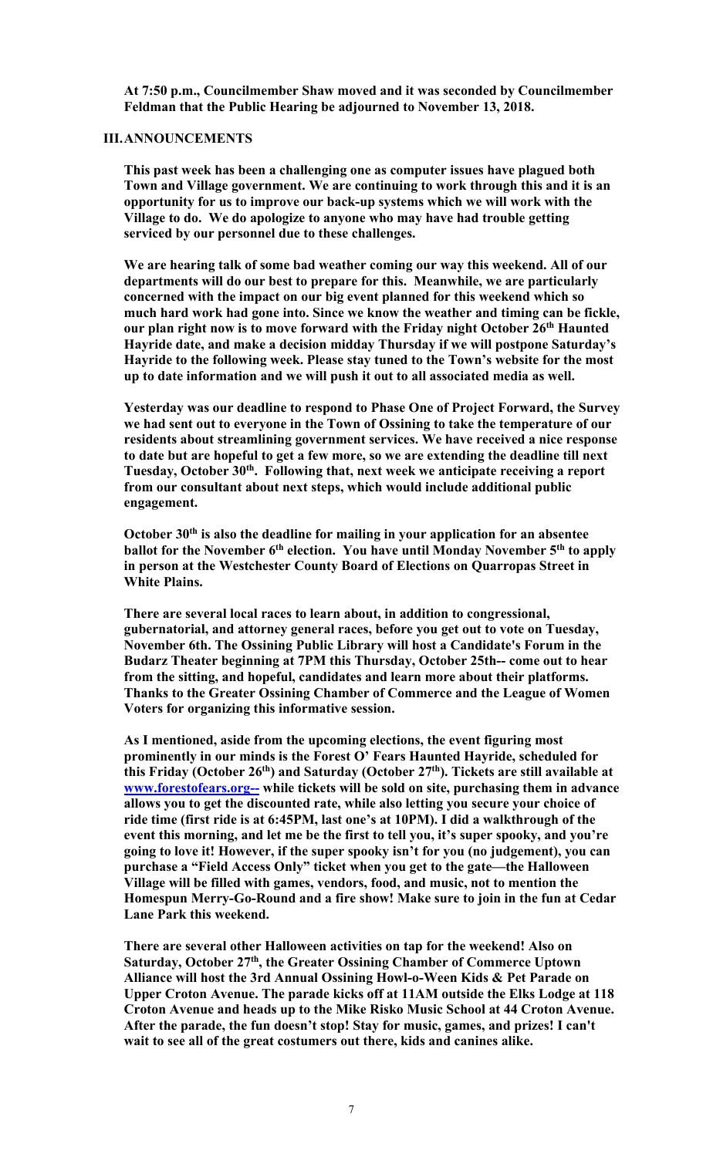**At 7:50 p.m., Councilmember Shaw moved and it was seconded by Councilmember Feldman that the Public Hearing be adjourned to November 13, 2018.** 

#### **III.ANNOUNCEMENTS**

**This past week has been a challenging one as computer issues have plagued both Town and Village government. We are continuing to work through this and it is an opportunity for us to improve our back-up systems which we will work with the Village to do. We do apologize to anyone who may have had trouble getting serviced by our personnel due to these challenges.** 

**We are hearing talk of some bad weather coming our way this weekend. All of our departments will do our best to prepare for this. Meanwhile, we are particularly concerned with the impact on our big event planned for this weekend which so much hard work had gone into. Since we know the weather and timing can be fickle, our plan right now is to move forward with the Friday night October 26th Haunted Hayride date, and make a decision midday Thursday if we will postpone Saturday's Hayride to the following week. Please stay tuned to the Town's website for the most up to date information and we will push it out to all associated media as well.** 

**Yesterday was our deadline to respond to Phase One of Project Forward, the Survey we had sent out to everyone in the Town of Ossining to take the temperature of our residents about streamlining government services. We have received a nice response to date but are hopeful to get a few more, so we are extending the deadline till next Tuesday, October 30th. Following that, next week we anticipate receiving a report from our consultant about next steps, which would include additional public engagement.** 

**October 30th is also the deadline for mailing in your application for an absentee**  ballot for the November 6<sup>th</sup> election. You have until Monday November 5<sup>th</sup> to apply **in person at the Westchester County Board of Elections on Quarropas Street in White Plains.** 

**There are several local races to learn about, in addition to congressional, gubernatorial, and attorney general races, before you get out to vote on Tuesday, November 6th. The Ossining Public Library will host a Candidate's Forum in the Budarz Theater beginning at 7PM this Thursday, October 25th-- come out to hear from the sitting, and hopeful, candidates and learn more about their platforms. Thanks to the Greater Ossining Chamber of Commerce and the League of Women Voters for organizing this informative session.** 

**As I mentioned, aside from the upcoming elections, the event figuring most prominently in our minds is the Forest O' Fears Haunted Hayride, scheduled for this Friday (October 26th) and Saturday (October 27th). Tickets are still available at www.forestofears.org-- while tickets will be sold on site, purchasing them in advance allows you to get the discounted rate, while also letting you secure your choice of ride time (first ride is at 6:45PM, last one's at 10PM). I did a walkthrough of the event this morning, and let me be the first to tell you, it's super spooky, and you're going to love it! However, if the super spooky isn't for you (no judgement), you can purchase a "Field Access Only" ticket when you get to the gate—the Halloween Village will be filled with games, vendors, food, and music, not to mention the Homespun Merry-Go-Round and a fire show! Make sure to join in the fun at Cedar Lane Park this weekend.** 

**There are several other Halloween activities on tap for the weekend! Also on**  Saturday, October 27<sup>th</sup>, the Greater Ossining Chamber of Commerce Uptown **Alliance will host the 3rd Annual Ossining Howl-o-Ween Kids & Pet Parade on Upper Croton Avenue. The parade kicks off at 11AM outside the Elks Lodge at 118 Croton Avenue and heads up to the Mike Risko Music School at 44 Croton Avenue. After the parade, the fun doesn't stop! Stay for music, games, and prizes! I can't wait to see all of the great costumers out there, kids and canines alike.**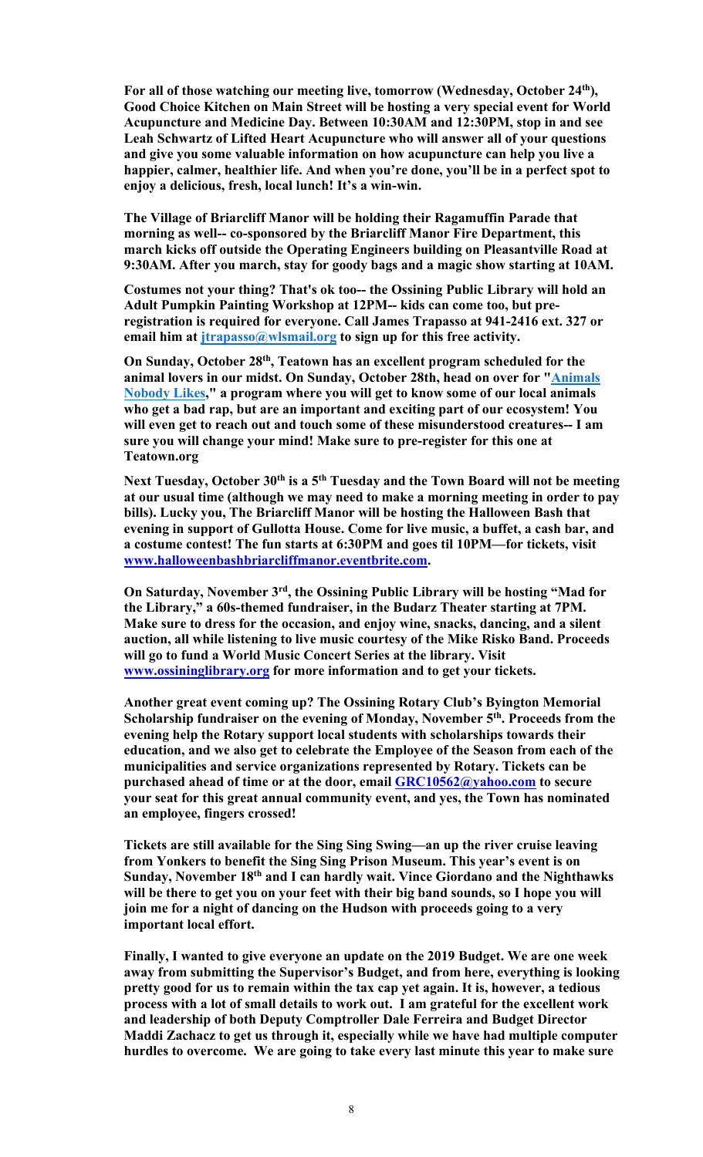**For all of those watching our meeting live, tomorrow (Wednesday, October 24th), Good Choice Kitchen on Main Street will be hosting a very special event for World Acupuncture and Medicine Day. Between 10:30AM and 12:30PM, stop in and see Leah Schwartz of Lifted Heart Acupuncture who will answer all of your questions and give you some valuable information on how acupuncture can help you live a happier, calmer, healthier life. And when you're done, you'll be in a perfect spot to enjoy a delicious, fresh, local lunch! It's a win-win.** 

**The Village of Briarcliff Manor will be holding their Ragamuffin Parade that morning as well-- co-sponsored by the Briarcliff Manor Fire Department, this march kicks off outside the Operating Engineers building on Pleasantville Road at 9:30AM. After you march, stay for goody bags and a magic show starting at 10AM.**

**Costumes not your thing? That's ok too-- the Ossining Public Library will hold an Adult Pumpkin Painting Workshop at 12PM-- kids can come too, but preregistration is required for everyone. Call James Trapasso at 941-2416 ext. 327 or**  email him at *jtrapasso*@wlsmail.org to sign up for this free activity.

**On Sunday, October 28th, Teatown has an excellent program scheduled for the animal lovers in our midst. On Sunday, October 28th, head on over for "Animals Nobody Likes," a program where you will get to know some of our local animals who get a bad rap, but are an important and exciting part of our ecosystem! You will even get to reach out and touch some of these misunderstood creatures-- I am sure you will change your mind! Make sure to pre-register for this one at Teatown.org**

Next Tuesday, October 30<sup>th</sup> is a 5<sup>th</sup> Tuesday and the Town Board will not be meeting **at our usual time (although we may need to make a morning meeting in order to pay bills). Lucky you, The Briarcliff Manor will be hosting the Halloween Bash that evening in support of Gullotta House. Come for live music, a buffet, a cash bar, and a costume contest! The fun starts at 6:30PM and goes til 10PM—for tickets, visit www.halloweenbashbriarcliffmanor.eventbrite.com.** 

**On Saturday, November 3rd, the Ossining Public Library will be hosting "Mad for the Library," a 60s-themed fundraiser, in the Budarz Theater starting at 7PM. Make sure to dress for the occasion, and enjoy wine, snacks, dancing, and a silent auction, all while listening to live music courtesy of the Mike Risko Band. Proceeds will go to fund a World Music Concert Series at the library. Visit www.ossininglibrary.org for more information and to get your tickets.** 

**Another great event coming up? The Ossining Rotary Club's Byington Memorial**  Scholarship fundraiser on the evening of Monday, November 5<sup>th</sup>. Proceeds from the **evening help the Rotary support local students with scholarships towards their education, and we also get to celebrate the Employee of the Season from each of the municipalities and service organizations represented by Rotary. Tickets can be purchased ahead of time or at the door, email GRC10562@yahoo.com to secure your seat for this great annual community event, and yes, the Town has nominated an employee, fingers crossed!** 

**Tickets are still available for the Sing Sing Swing—an up the river cruise leaving from Yonkers to benefit the Sing Sing Prison Museum. This year's event is on Sunday, November 18th and I can hardly wait. Vince Giordano and the Nighthawks will be there to get you on your feet with their big band sounds, so I hope you will join me for a night of dancing on the Hudson with proceeds going to a very important local effort.** 

**Finally, I wanted to give everyone an update on the 2019 Budget. We are one week away from submitting the Supervisor's Budget, and from here, everything is looking pretty good for us to remain within the tax cap yet again. It is, however, a tedious process with a lot of small details to work out. I am grateful for the excellent work and leadership of both Deputy Comptroller Dale Ferreira and Budget Director Maddi Zachacz to get us through it, especially while we have had multiple computer hurdles to overcome. We are going to take every last minute this year to make sure**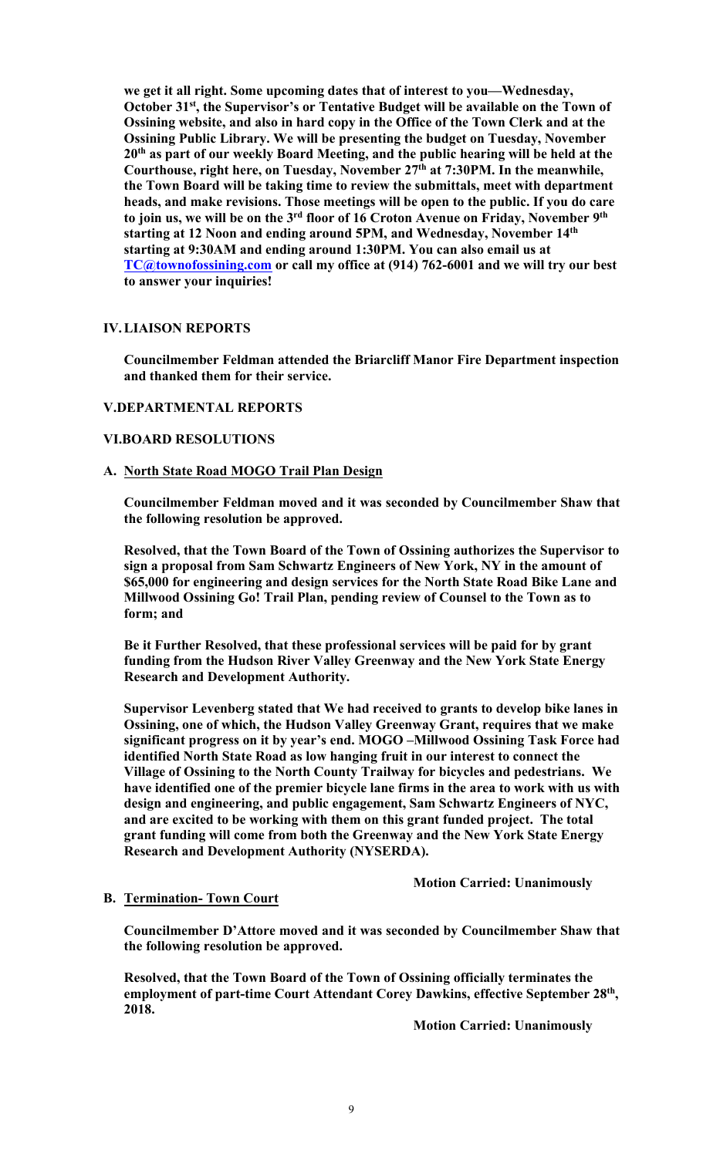**we get it all right. Some upcoming dates that of interest to you—Wednesday, October 31st, the Supervisor's or Tentative Budget will be available on the Town of Ossining website, and also in hard copy in the Office of the Town Clerk and at the Ossining Public Library. We will be presenting the budget on Tuesday, November 20th as part of our weekly Board Meeting, and the public hearing will be held at the Courthouse, right here, on Tuesday, November 27th at 7:30PM. In the meanwhile, the Town Board will be taking time to review the submittals, meet with department heads, and make revisions. Those meetings will be open to the public. If you do care to join us, we will be on the 3rd floor of 16 Croton Avenue on Friday, November 9th starting at 12 Noon and ending around 5PM, and Wednesday, November 14th starting at 9:30AM and ending around 1:30PM. You can also email us at TC@townofossining.com or call my office at (914) 762-6001 and we will try our best to answer your inquiries!** 

### **IV.LIAISON REPORTS**

**Councilmember Feldman attended the Briarcliff Manor Fire Department inspection and thanked them for their service.** 

### **V.DEPARTMENTAL REPORTS**

### **VI.BOARD RESOLUTIONS**

### **A. North State Road MOGO Trail Plan Design**

**Councilmember Feldman moved and it was seconded by Councilmember Shaw that the following resolution be approved.** 

**Resolved, that the Town Board of the Town of Ossining authorizes the Supervisor to sign a proposal from Sam Schwartz Engineers of New York, NY in the amount of \$65,000 for engineering and design services for the North State Road Bike Lane and Millwood Ossining Go! Trail Plan, pending review of Counsel to the Town as to form; and** 

**Be it Further Resolved, that these professional services will be paid for by grant funding from the Hudson River Valley Greenway and the New York State Energy Research and Development Authority.** 

**Supervisor Levenberg stated that We had received to grants to develop bike lanes in Ossining, one of which, the Hudson Valley Greenway Grant, requires that we make significant progress on it by year's end. MOGO –Millwood Ossining Task Force had identified North State Road as low hanging fruit in our interest to connect the Village of Ossining to the North County Trailway for bicycles and pedestrians. We have identified one of the premier bicycle lane firms in the area to work with us with design and engineering, and public engagement, Sam Schwartz Engineers of NYC, and are excited to be working with them on this grant funded project. The total grant funding will come from both the Greenway and the New York State Energy Research and Development Authority (NYSERDA).** 

 **Motion Carried: Unanimously** 

#### **B. Termination- Town Court**

**Councilmember D'Attore moved and it was seconded by Councilmember Shaw that the following resolution be approved.** 

**Resolved, that the Town Board of the Town of Ossining officially terminates the employment of part-time Court Attendant Corey Dawkins, effective September 28th, 2018.** 

 **Motion Carried: Unanimously**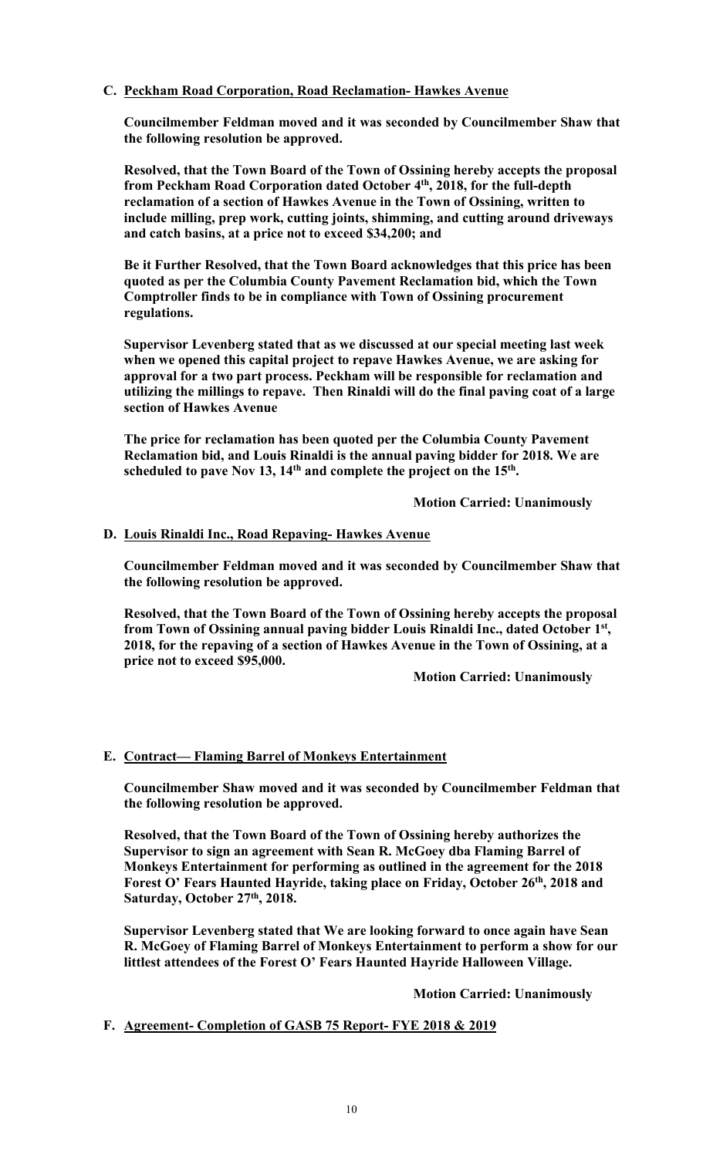## **C. Peckham Road Corporation, Road Reclamation- Hawkes Avenue**

**Councilmember Feldman moved and it was seconded by Councilmember Shaw that the following resolution be approved.** 

**Resolved, that the Town Board of the Town of Ossining hereby accepts the proposal from Peckham Road Corporation dated October 4th, 2018, for the full-depth reclamation of a section of Hawkes Avenue in the Town of Ossining, written to include milling, prep work, cutting joints, shimming, and cutting around driveways and catch basins, at a price not to exceed \$34,200; and** 

**Be it Further Resolved, that the Town Board acknowledges that this price has been quoted as per the Columbia County Pavement Reclamation bid, which the Town Comptroller finds to be in compliance with Town of Ossining procurement regulations.** 

**Supervisor Levenberg stated that as we discussed at our special meeting last week when we opened this capital project to repave Hawkes Avenue, we are asking for approval for a two part process. Peckham will be responsible for reclamation and utilizing the millings to repave. Then Rinaldi will do the final paving coat of a large section of Hawkes Avenue** 

**The price for reclamation has been quoted per the Columbia County Pavement Reclamation bid, and Louis Rinaldi is the annual paving bidder for 2018. We are**  scheduled to pave Nov 13, 14<sup>th</sup> and complete the project on the 15<sup>th</sup>.

 **Motion Carried: Unanimously** 

## **D. Louis Rinaldi Inc., Road Repaving- Hawkes Avenue**

**Councilmember Feldman moved and it was seconded by Councilmember Shaw that the following resolution be approved.** 

**Resolved, that the Town Board of the Town of Ossining hereby accepts the proposal from Town of Ossining annual paving bidder Louis Rinaldi Inc., dated October 1st, 2018, for the repaving of a section of Hawkes Avenue in the Town of Ossining, at a price not to exceed \$95,000.** 

 **Motion Carried: Unanimously** 

# **E. Contract— Flaming Barrel of Monkeys Entertainment**

**Councilmember Shaw moved and it was seconded by Councilmember Feldman that the following resolution be approved.** 

**Resolved, that the Town Board of the Town of Ossining hereby authorizes the Supervisor to sign an agreement with Sean R. McGoey dba Flaming Barrel of Monkeys Entertainment for performing as outlined in the agreement for the 2018**  Forest O' Fears Haunted Hayride, taking place on Friday, October 26<sup>th</sup>, 2018 and **Saturday, October 27th, 2018.** 

**Supervisor Levenberg stated that We are looking forward to once again have Sean R. McGoey of Flaming Barrel of Monkeys Entertainment to perform a show for our littlest attendees of the Forest O' Fears Haunted Hayride Halloween Village.** 

 **Motion Carried: Unanimously** 

# **F. Agreement- Completion of GASB 75 Report- FYE 2018 & 2019**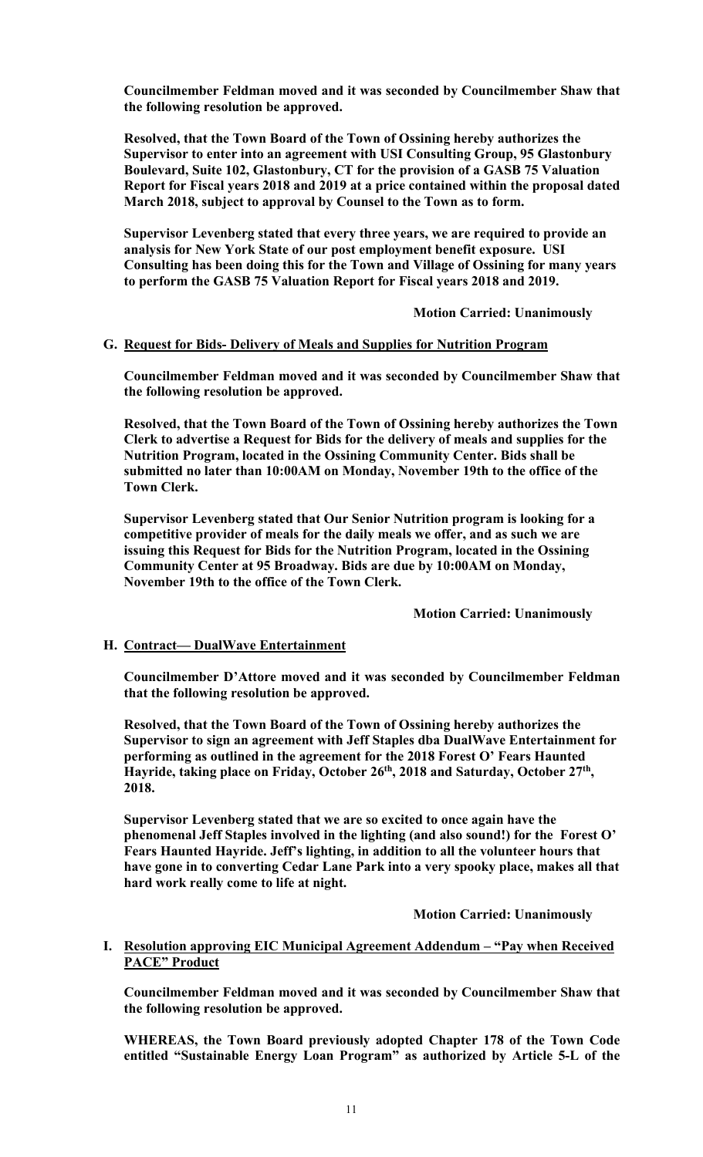**Councilmember Feldman moved and it was seconded by Councilmember Shaw that the following resolution be approved.** 

**Resolved, that the Town Board of the Town of Ossining hereby authorizes the Supervisor to enter into an agreement with USI Consulting Group, 95 Glastonbury Boulevard, Suite 102, Glastonbury, CT for the provision of a GASB 75 Valuation Report for Fiscal years 2018 and 2019 at a price contained within the proposal dated March 2018, subject to approval by Counsel to the Town as to form.** 

**Supervisor Levenberg stated that every three years, we are required to provide an analysis for New York State of our post employment benefit exposure. USI Consulting has been doing this for the Town and Village of Ossining for many years to perform the GASB 75 Valuation Report for Fiscal years 2018 and 2019.** 

 **Motion Carried: Unanimously** 

## **G. Request for Bids- Delivery of Meals and Supplies for Nutrition Program**

**Councilmember Feldman moved and it was seconded by Councilmember Shaw that the following resolution be approved.** 

**Resolved, that the Town Board of the Town of Ossining hereby authorizes the Town Clerk to advertise a Request for Bids for the delivery of meals and supplies for the Nutrition Program, located in the Ossining Community Center. Bids shall be submitted no later than 10:00AM on Monday, November 19th to the office of the Town Clerk.** 

**Supervisor Levenberg stated that Our Senior Nutrition program is looking for a competitive provider of meals for the daily meals we offer, and as such we are issuing this Request for Bids for the Nutrition Program, located in the Ossining Community Center at 95 Broadway. Bids are due by 10:00AM on Monday, November 19th to the office of the Town Clerk.** 

 **Motion Carried: Unanimously** 

## **H. Contract— DualWave Entertainment**

**Councilmember D'Attore moved and it was seconded by Councilmember Feldman that the following resolution be approved.** 

**Resolved, that the Town Board of the Town of Ossining hereby authorizes the Supervisor to sign an agreement with Jeff Staples dba DualWave Entertainment for performing as outlined in the agreement for the 2018 Forest O' Fears Haunted Hayride, taking place on Friday, October 26th, 2018 and Saturday, October 27th, 2018.** 

**Supervisor Levenberg stated that we are so excited to once again have the phenomenal Jeff Staples involved in the lighting (and also sound!) for the Forest O' Fears Haunted Hayride. Jeff's lighting, in addition to all the volunteer hours that have gone in to converting Cedar Lane Park into a very spooky place, makes all that hard work really come to life at night.** 

 **Motion Carried: Unanimously** 

### **I. Resolution approving EIC Municipal Agreement Addendum – "Pay when Received PACE" Product**

**Councilmember Feldman moved and it was seconded by Councilmember Shaw that the following resolution be approved.** 

**WHEREAS, the Town Board previously adopted Chapter 178 of the Town Code entitled "Sustainable Energy Loan Program" as authorized by Article 5-L of the**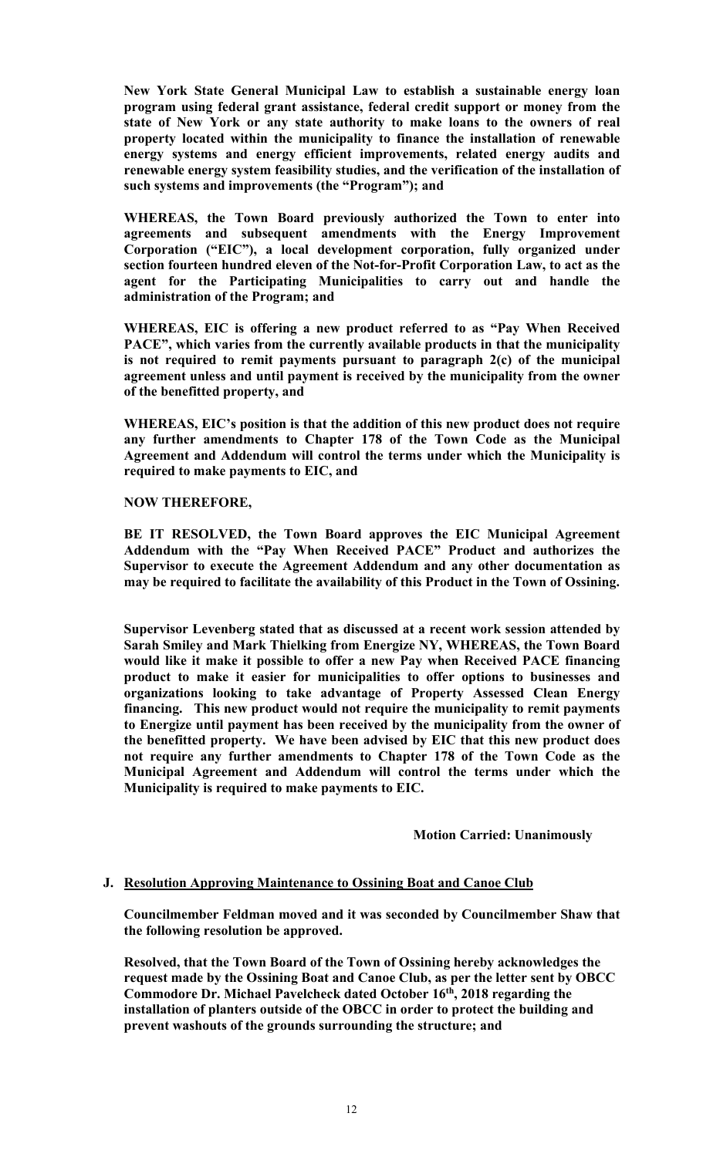**New York State General Municipal Law to establish a sustainable energy loan program using federal grant assistance, federal credit support or money from the state of New York or any state authority to make loans to the owners of real property located within the municipality to finance the installation of renewable energy systems and energy efficient improvements, related energy audits and renewable energy system feasibility studies, and the verification of the installation of such systems and improvements (the "Program"); and** 

**WHEREAS, the Town Board previously authorized the Town to enter into agreements and subsequent amendments with the Energy Improvement Corporation ("EIC"), a local development corporation, fully organized under section fourteen hundred eleven of the Not-for-Profit Corporation Law, to act as the agent for the Participating Municipalities to carry out and handle the administration of the Program; and** 

**WHEREAS, EIC is offering a new product referred to as "Pay When Received PACE", which varies from the currently available products in that the municipality is not required to remit payments pursuant to paragraph 2(c) of the municipal agreement unless and until payment is received by the municipality from the owner of the benefitted property, and** 

**WHEREAS, EIC's position is that the addition of this new product does not require any further amendments to Chapter 178 of the Town Code as the Municipal Agreement and Addendum will control the terms under which the Municipality is required to make payments to EIC, and** 

### **NOW THEREFORE,**

**BE IT RESOLVED, the Town Board approves the EIC Municipal Agreement Addendum with the "Pay When Received PACE" Product and authorizes the Supervisor to execute the Agreement Addendum and any other documentation as may be required to facilitate the availability of this Product in the Town of Ossining.** 

**Supervisor Levenberg stated that as discussed at a recent work session attended by Sarah Smiley and Mark Thielking from Energize NY, WHEREAS, the Town Board would like it make it possible to offer a new Pay when Received PACE financing product to make it easier for municipalities to offer options to businesses and organizations looking to take advantage of Property Assessed Clean Energy financing. This new product would not require the municipality to remit payments to Energize until payment has been received by the municipality from the owner of the benefitted property. We have been advised by EIC that this new product does not require any further amendments to Chapter 178 of the Town Code as the Municipal Agreement and Addendum will control the terms under which the Municipality is required to make payments to EIC.** 

## **Motion Carried: Unanimously**

#### **J. Resolution Approving Maintenance to Ossining Boat and Canoe Club**

**Councilmember Feldman moved and it was seconded by Councilmember Shaw that the following resolution be approved.** 

**Resolved, that the Town Board of the Town of Ossining hereby acknowledges the request made by the Ossining Boat and Canoe Club, as per the letter sent by OBCC Commodore Dr. Michael Pavelcheck dated October 16th, 2018 regarding the installation of planters outside of the OBCC in order to protect the building and prevent washouts of the grounds surrounding the structure; and**